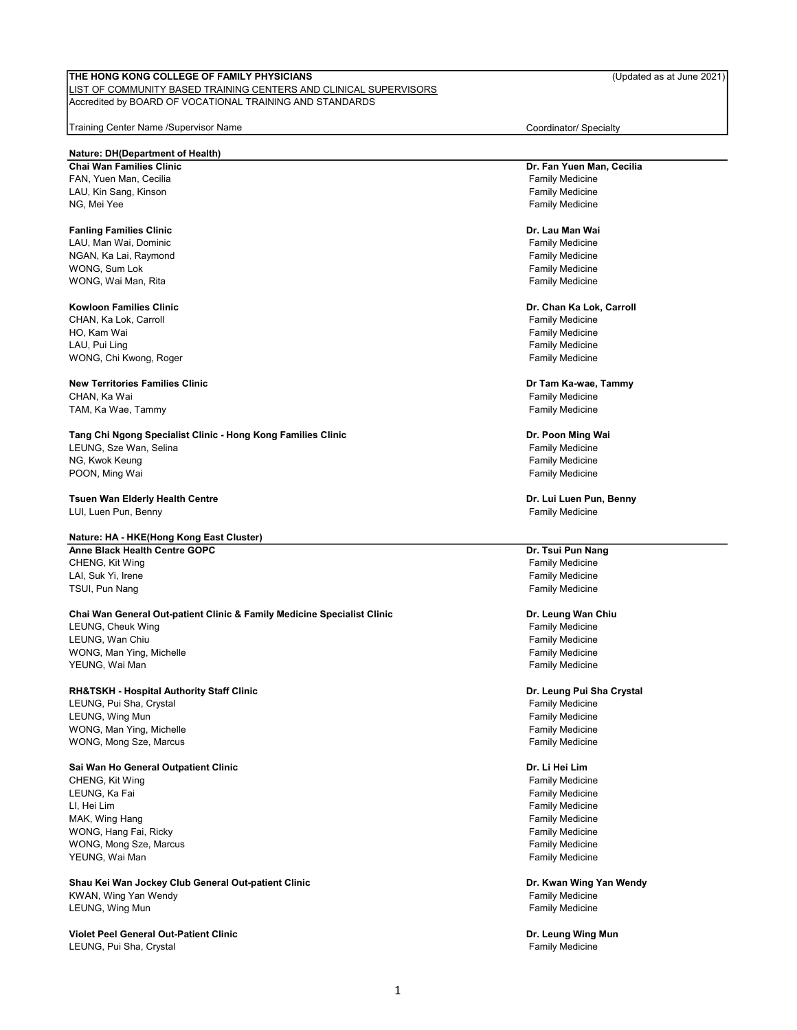#### LIST OF COMMUNITY BASED TRAINING CENTERS AND CLINICAL SUPERVISORS Accredited by BOARD OF VOCATIONAL TRAINING AND STANDARDS

Training Center Name /Supervisor Name Coordinator/ Specialty

#### Nature: DH(Department of Health)

Chai Wan Families Clinic FAN, Yuen Man, Cecilia Family Medicine Family Medicine LAU, Kin Sang, Kinson Family Medicine NG, Mei Yee Family Medicine

#### Fanling Families Clinic

LAU, Man Wai, Dominic Family Medicine NGAN, Ka Lai, Raymond Family Medicine wong, Sum Lok Family Medicine and the state of the state of the state of the state of the state of the state of the state of the state of the state of the state of the state of the state of the state of the state of the st wong, Wai Man, Rita Family Medicine (Campus and Campus and Campus and Campus and Campus and Campus and Campus A

#### Kowloon Families Clinic

CHAN, Ka Lok, Carroll Channel Channel Channel Channel Channel Channel Channel Channel Channel Channel Channel Channel Channel Channel Channel Channel Channel Channel Channel Channel Channel Channel Channel Channel Channel HO, Kam Wai Family Medicine LAU, Pui Ling Family Medicine WONG, Chi Kwong, Roger **Family Medicine** Chi Kwong, Roger **Family Medicine** 

#### New Territories Families Clinic CHAN, Ka Wai **Family Medicine** CHAN, Ka Wai Family Medicine TAM, Ka Wae, Tammy Family Medicine

Tang Chi Ngong Specialist Clinic - Hong Kong Families Clinic LEUNG, Sze Wan, Selina Family Medicine Family Medicine NG, Kwok Keung Family Medicine POON, Ming Wai **Family Medicine Poon, Ming Wai Family Medicine** 

#### Tsuen Wan Elderly Health Centre

LUI, Luen Pun, Benny Family Medicine

#### Nature: HA - HKE(Hong Kong East Cluster)

Anne Black Health Centre GOPC CHENG, Kit Wing Family Medicine LAI, Suk Yi, Irene Family Medicine Family Medicine TSUI, Pun Nang Family Medicine

#### Chai Wan General Out-patient Clinic & Family Medicine Specialist Clinic

LEUNG, Cheuk Wing **Family Medicine** Control of the Cheuke Cheuke Cheuke Cheuke Cheuke Cheuke Cheuke Cheuke Cheuke LEUNG, Wan Chiu Family Medicine wONG, Man Ying, Michelle Family Medicine Family Medicine YEUNG, Wai Man Family Medicine

#### RH&TSKH - Hospital Authority Staff Clinic

LEUNG, Pui Sha, Crystal **Family Medicine** Family Medicine LEUNG, Wing Mun Family Medicine WONG, Man Ying, Michelle WONG, Mong Sze, Marcus **Family Medicine** Family Medicine

#### Sai Wan Ho General Outpatient Clinic

CHENG, Kit Wing کار (CHENG) کار است که از تک است که در این کشور است که از تک است که در است که از تک است که از<br>LEUNG, Ka Fai LI, Hei Lim Family Medicine MAK, Wing Hang Family Medicine WONG, Hang Fai, Ricky Family Medicine WONG, Mong Sze, Marcus Family Medicine YEUNG, Wai Man Family Medicine

#### Shau Kei Wan Jockey Club General Out-patient Clinic KWAN, Wing Yan Wendy Family Medicine LEUNG, Wing Mun Family Medicine

Violet Peel General Out-Patient Clinic LEUNG, Pui Sha, Crystal Family Medicine Family Medicine

Dr. Fan Yuen Man, Cecilia

#### Dr. Lau Man Wai

#### Dr. Chan Ka Lok, Carroll

## Dr Tam Ka-wae, Tammy

# Dr. Poon Ming Wai

Dr. Lui Luen Pun, Benny

#### Dr. Tsui Pun Nang

#### Dr. Leung Wan Chiu

#### Dr. Leung Pui Sha Crystal

#### Dr. Li Hei Lim

Family Medicine

Dr. Kwan Wing Yan Wendy

Dr. Leung Wing Mun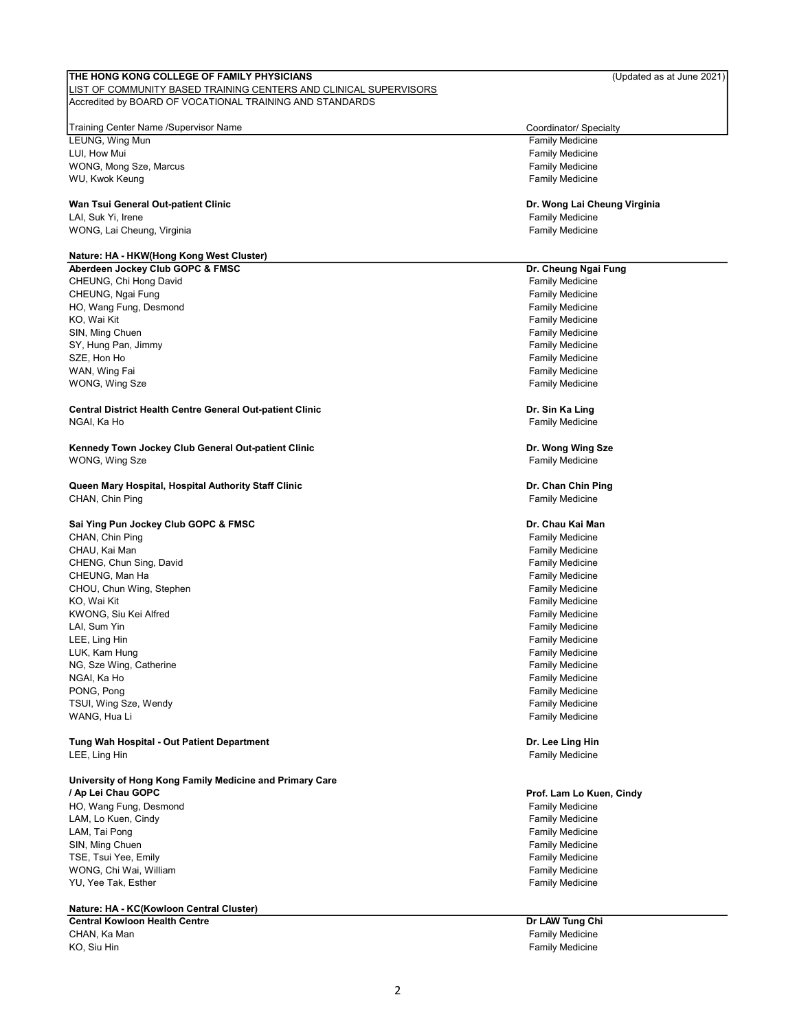#### LIST OF COMMUNITY BASED TRAINING CENTERS AND CLINICAL SUPERVISORS Accredited by BOARD OF VOCATIONAL TRAINING AND STANDARDS

#### Training Center Name /Supervisor Name Coordinator/ Specialty

LEUNG, Wing Mun **Family Medicine** LUI, How Mui **Family Medicine** wong, Mong Sze, Marcus Theory of Theory of Theory of Theory of Theory of Theory of Theory of Theory of Theory I<br>Family Medicine Family Medicine WU, Kwok Keung

#### Wan Tsui General Out-patient Clinic

LAI, Suk Yi, Irene Family Medicine WONG, Lai Cheung, Virginia Family Medicine Cheunes and Theoretic Cheunes and Theoretic Cheunes and Theoretic Cheunes and Theoretic Cheunes and Theoretic Cheunes and Theoretic Cheunes and Theoretic Cheunes and Theoretic Che

#### Nature: HA - HKW(Hong Kong West Cluster)

Aberdeen Jockey Club GOPC & FMSC CHEUNG, Chi Hong David Family Medicine CHEUNG, Ngai Fung Family Medicine<br>HO, Wang Fung, Desmond Family Medicine<br>HO, Wang Fung, Desmond Family Medicine HO, Wang Fung, Desmond KO, Wai Kit Family Medicine SIN, Ming Chuen Family Medicine Church Church Church Church Church Church Church Church Church Church Church Church Church Church Church Church Church Church Church Church Church Church Church Church Church Church Church C SY, Hung Pan, Jimmy Family Medicine SZE, Hon Ho **Family Medicine** WAN, Wing Fai **Family Medicine** Controller Controller Controller Controller Controller Controller Controller Controller Controller Controller Controller Controller Controller Controller Controller Controller Controller Con WONG, Wing Sze **Family Medicine** 

Central District Health Centre General Out-patient Clinic NGAI, Ka Ho Family Medicine

Kennedy Town Jockey Club General Out-patient Clinic wong, Wing Sze Family Medicine

Queen Mary Hospital, Hospital Authority Staff Clinic CHAN, Chin Ping **Family Medicine** 

#### Sai Ying Pun Jockey Club GOPC & FMSC

CHAN, Chin Ping Family Medicine CHAU, Kai Man Family Medicine CHENG, Chun Sing, David **Family Medicine** CHENG, Chun Sing, David Family Medicine CHEUNG, Man Ha Family Medicine CHOU, Chun Wing, Stephen KO, Wai Kit Family Medicine (Controlled a Maria Controlled a Maria Controlled a Maria Controlled a Maria Controlled a Maria Controlled a Maria Controlled a Maria Controlled a Maria Controlled a Maria Controlled a Maria Con KWONG, Siu Kei Alfred Family Medicine Control of the State of the State of the Family Medicine LAI, Sum Yin Family Medicine LEE, Ling Hin Family Medicine LUK, Kam Hung Family Medicine NG, Sze Wing, Catherine Family Medicine NGAI, Ka Ho Family Medicine PONG, Pong Family Medicine TSUI, Wing Sze, Wendy Family Medicine WANG, Hua Li **Family Medicine** 

Tung Wah Hospital - Out Patient Department LEE, Ling Hin Family Medicine

#### University of Hong Kong Family Medicine and Primary Care / Ap Lei Chau GOPC

HO, Wang Fung, Desmond Family Medicine LAM, Lo Kuen, Cindy Family Medicine LAM, Tai Pong Family Medicine SIN, Ming Chuen **Family Medicine** Family Medicine TSE, Tsui Yee, Emily Family Family Medicine WONG, Chi Wai, William Family Medicine Chi Mathematic Chi Mathematic Chi Mathematic Chi Mathematic Chi Mathematic Chi Mathematic Chi Mathematic Chi Mathematic Chi Mathematic Chi Mathematic Chi Mathematic Chi Mathematic Chi YU, Yee Tak, Esther Family Medicine

Nature: HA - KC(Kowloon Central Cluster)

Central Kowloon Health Centre CHAN, Ka Man Family Medicine KO, Siu Hin Family Medicine

Dr. Wong Lai Cheung Virginia

#### Dr. Cheung Ngai Fung

Dr. Sin Ka Ling

Dr. Wong Wing Sze

Dr. Chan Chin Ping

#### Dr. Chau Kai Man

Dr. Lee Ling Hin

#### Prof. Lam Lo Kuen, Cindy

Dr LAW Tung Chi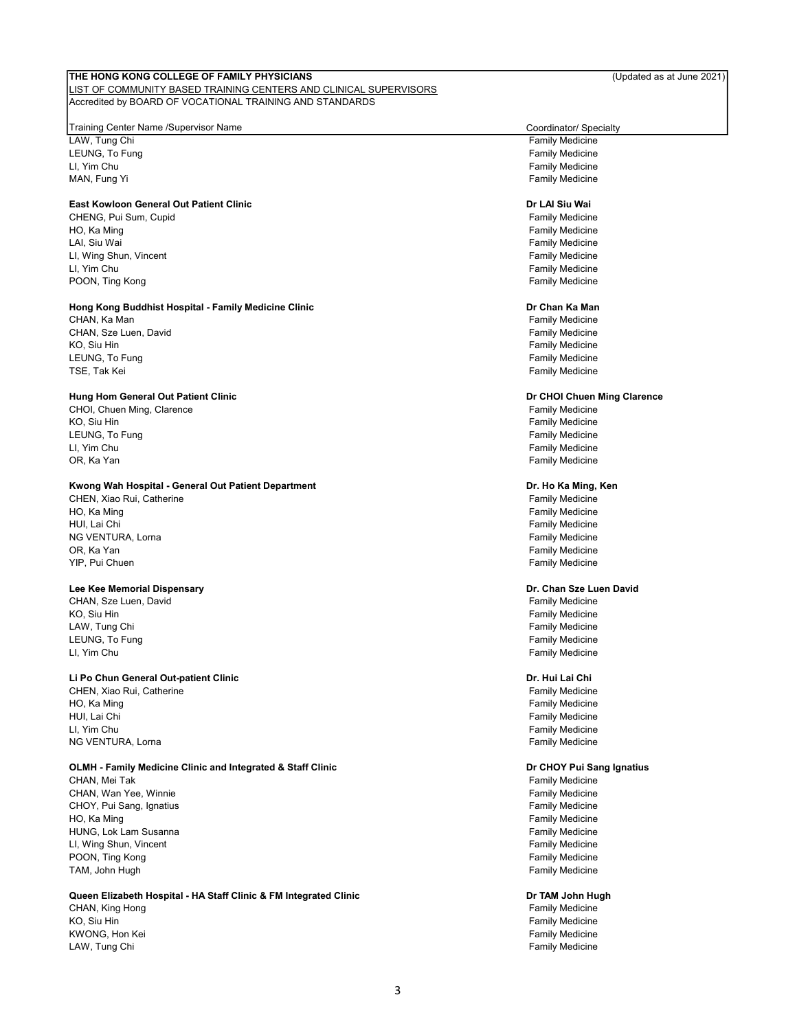#### LIST OF COMMUNITY BASED TRAINING CENTERS AND CLINICAL SUPERVISORS Accredited by BOARD OF VOCATIONAL TRAINING AND STANDARDS

#### Training Center Name /Supervisor Name Coordinator/ Specialty

LAW, Tung Chi **Family Medicine** LEUNG, To Fung Family Medicine LI, Yim Chu Family Medicine

#### East Kowloon General Out Patient Clinic

CHENG, Pui Sum, Cupid **Family Medicine** CHENG, Puis CHENG, Puis CHENG, Puis CHENG, Puis CHENG, Puis CHENG, Puis CH HO, Ka Ming Family Medicine LAI, Siu Wai Family Medicine LI, Wing Shun, Vincent Family Medicine LI, Yim Chu Family Medicine POON, Ting Kong Family Medicine

#### Hong Kong Buddhist Hospital - Family Medicine Clinic

CHAN, Ka Man Family Medicine CHAN, Sze Luen, David **Family Medicine** Family Medicine KO, Siu Hin Family Medicine LEUNG, To Fung Family Medicine TSE, Tak Kei Family Medicine

### Hung Hom General Out Patient Clinic

CHOI, Chuen Ming, Clarence Family Medicine KO, Siu Hin Family Medicine LEUNG, To Fung Family Medicine LI, Yim Chu Family Medicine OR, Ka Yan Family Medicine

#### Kwong Wah Hospital - General Out Patient Department

CHEN, Xiao Rui, Catherine Family Medicine HO, Ka Ming Family Medicine HUI, Lai Chi Family Medicine السلطة المستخدم المستخدم المستخدم المستخدم المستخدم المستخدم المستخدم المستخدم ال<br>NG VENTURA, Lorna المستخدم المستخدم المستخدم المستخدم المستخدم المستخدم المستخدم المستخدم المستخدم المستخدم ال NG VENTURA, Lorna OR, Ka Yan Family Medicine YIP, Pui Chuen Family Medicine

#### Lee Kee Memorial Dispensary

CHAN, Sze Luen, David CHAN, Sze Luen, David CHAN, Sze Luen, David CHAN, Sze Luen, David CHAN, Sze Luen, David KO, Siu Hin Family Medicine LAW, Tung Chi **Family Medicine** Chi Family Medicine Chi Family Medicine Chi Family Medicine LEUNG, To Fung Family Medicine LI, Yim Chu Family Medicine

#### Li Po Chun General Out-patient Clinic

CHEN. Xiao Rui, Catherine Family Medicine Family Medicine HO, Ka Ming Family Medicine HUI, Lai Chi Family Medicine LI, Yim Chu Family Medicine NG VENTURA, Lorna **Family Medicine** Control of the Control of the Control of the Control of the Control of the Control of the Control of the Control of the Control of the Control of the Control of the Control of the Contro

#### OLMH - Family Medicine Clinic and Integrated & Staff Clinic

CHAN, Mei Tak و CHAN, Mei Tak<br>CHAN, Wan Yee, Winnie و CHAN, Wan Yee, Winnie CHAN, Wan Yee, Winnie CHOY, Pui Sang, Ignatius Family Medicine HO, Ka Ming Family Medicine HUNG, Lok Lam Susanna Family Medicine LI, Wing Shun, Vincent Family Medicine POON, Ting Kong Family Medicine Control of the Control of the Control of Tamily Medicine Family Medicine TAM, John Hugh Family Medicine

#### Queen Elizabeth Hospital - HA Staff Clinic & FM Integrated Clinic

CHAN, King Hong Family Medicine<br>The CHAN, King Hong Family Medicine<br>Family Medicine KWONG, Hon Kei **Family Medicine** Control of the Control of the Control of the Control of Tamily Medicine Control of the Control of the Control of the Control of the Control of the Control of the Control of the Control of t LAW, Tung Chi **Family Medicine** Chi Family Medicine Chi Family Medicine

**Family Medicine** 

#### Dr LAI Siu Wai

#### Dr Chan Ka Man

#### Dr CHOI Chuen Ming Clarence

#### Dr. Ho Ka Ming, Ken

#### Dr. Chan Sze Luen David

#### Dr. Hui Lai Chi

#### Dr CHOY Pui Sang Ignatius

#### Dr TAM John Hugh

**Family Medicine**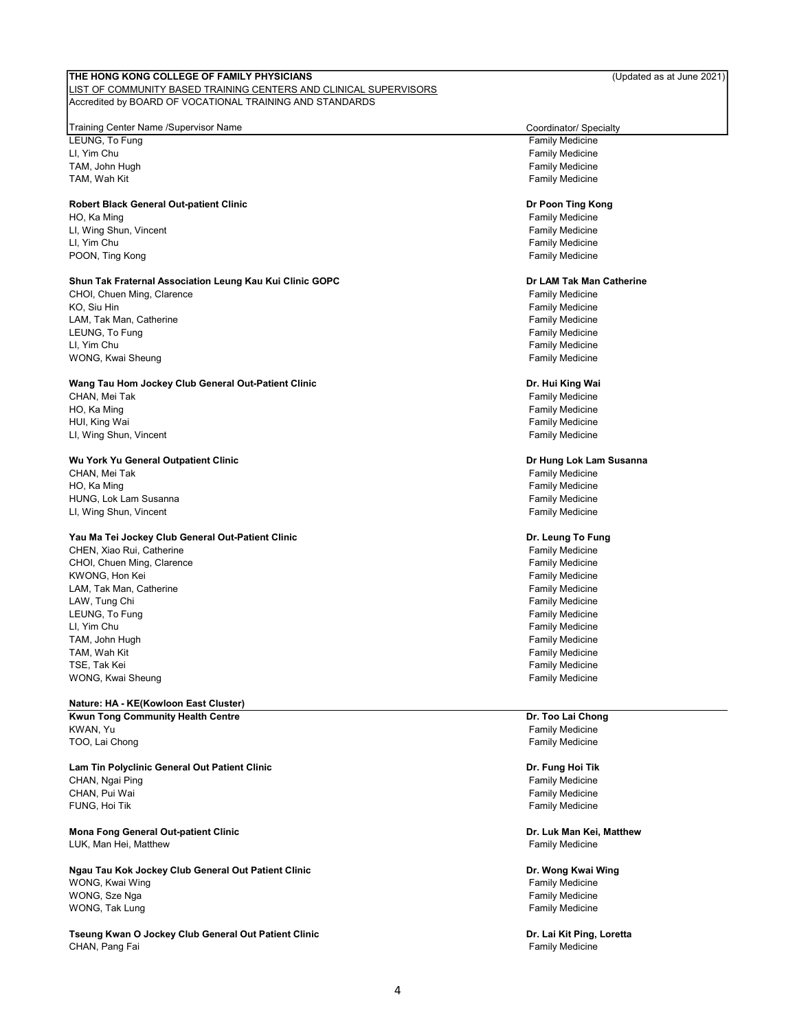#### LIST OF COMMUNITY BASED TRAINING CENTERS AND CLINICAL SUPERVISORS Accredited by BOARD OF VOCATIONAL TRAINING AND STANDARDS

#### Training Center Name /Supervisor Name Coordinator/ Specialty

LEUNG, To Fung Family Medicine LI, Yim Chu Family Medicine TAM, John Hugh Family Medicine TAM, Wah Kit Family Medicine

#### Robert Black General Out-patient Clinic

HO, Ka Ming Family Medicine LI, Wing Shun, Vincent Family Medicine LI, Yim Chu Family Medicine POON, Ting Kong Family Medicine Control of the Congress of Transaction Congress of Transaction Congress of Transaction Congress of Transaction Congress of Transaction Congress of Transaction Congress of Transaction Congres

#### Shun Tak Fraternal Association Leung Kau Kui Clinic GOPC

CHOI, Chuen Ming, Clarence CHOI, Chuen Ming, Clarence Family Medicine<br>The Family Medicine Family Medicine Family Medicine LAM, Tak Man, Catherine **Family Medicine** Family Medicine LEUNG, To Fung Family Medicine LI, Yim Chu Family Medicine WONG, Kwai Sheung Family Medicine

#### Wang Tau Hom Jockey Club General Out-Patient Clinic

CHAN, Mei Tak Family Medicine HO, Ka Ming Family Medicine HUI, King Wai Family Medicine LI, Wing Shun, Vincent Family Medicine

#### Wu York Yu General Outpatient Clinic

CHAN, Mei Tak Family Medicine HO, Ka Ming Family Medicine HUNG, Lok Lam Susanna Family Medicine LI, Wing Shun, Vincent **Family Medicine** Family Medicine

#### Yau Ma Tei Jockey Club General Out-Patient Clinic

CHEN, Xiao Rui, Catherine Family Medicine CHOI, Chuen Ming, Clarence Family Medicine KWONG, Hon Kei Family Medicine LAM, Tak Man, Catherine LAW, Tung Chi **Family Medicine** Chi Family Medicine Chi Family Medicine Chi Family Medicine LEUNG, To Fung **Family Medicine** Control of the United States of the United States of the States of Tamily Medicine LI, Yim Chu Family Medicine TAM, John Hugh Family Medicine TAM, Wah Kit Family Medicine TSE, Tak Kei Family Medicine (1999) and the state of the state of the state of the state of the state of the state of the state of the state of the state of the state of the state of the state of the state of the state of WONG, Kwai Sheung Family Medicine

### Nature: HA - KE(Kowloon East Cluster)

Kwun Tong Community Health Centre KWAN, Yu **Family Medicine** TOO, Lai Chong Family Medicine

Lam Tin Polyclinic General Out Patient Clinic CHAN, Ngai Ping Family Medicine CHAN, Ngai Ping Family Medicine CHAN, Pui Wai **Family Medicine** CHAN, Pui Wai Family Medicine FUNG, Hoi Tik Family Medicine

Mona Fong General Out-patient Clinic LUK, Man Hei, Matthew Family Medicine

Ngau Tau Kok Jockey Club General Out Patient Clinic WONG, Kwai Wing Family Medicine Control of the Control of the Control of the Control of Table Tamily Medicine wONG, Sze Nga Family Medicine (1999) which is a state of the state of the state of the state of the state of the state of the state of the state of the state of the state of the state of the state of the state of the state WONG, Tak Lung Family Medicine

Tseung Kwan O Jockey Club General Out Patient Clinic CHAN, Pang Fai **Family Medicine** CHAN, Pang Fai Family Medicine

#### Dr Poon Ting Kong

#### Dr LAM Tak Man Catherine

**Family Medicine** 

#### Dr. Hui King Wai

#### Dr Hung Lok Lam Susanna

#### Dr. Leung To Fung

Dr. Too Lai Chong

Dr. Fung Hoi Tik

Dr. Luk Man Kei, Matthew

# Dr. Wong Kwai Wing

Dr. Lai Kit Ping, Loretta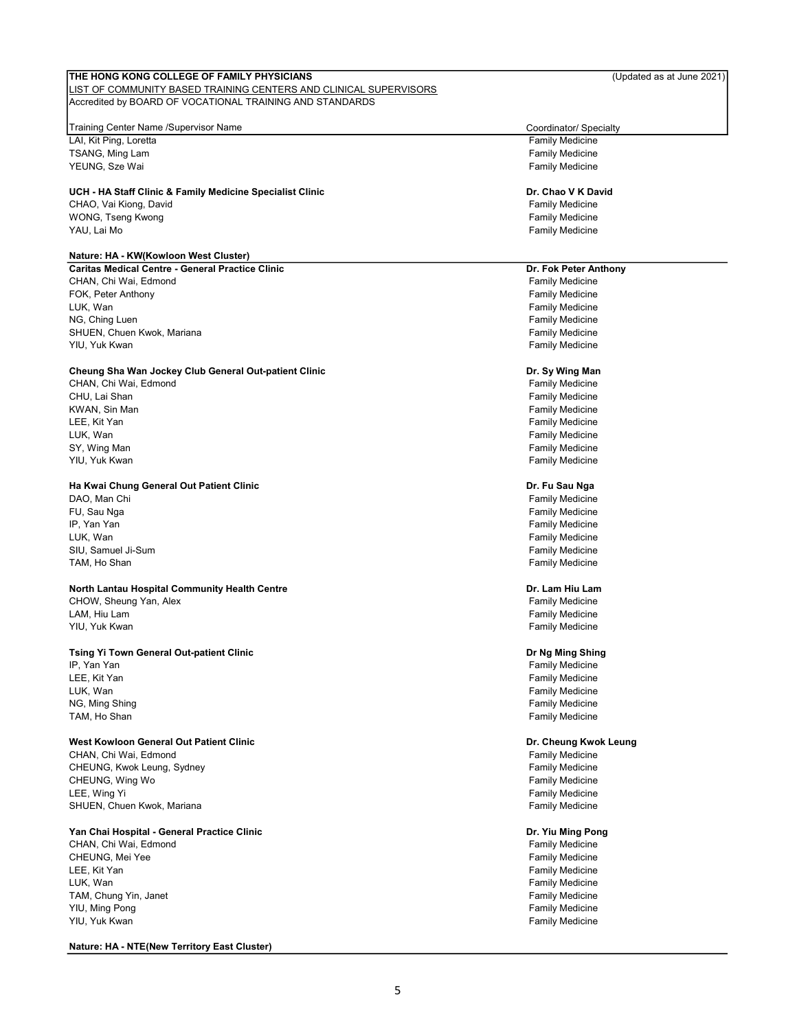#### LIST OF COMMUNITY BASED TRAINING CENTERS AND CLINICAL SUPERVISORS Accredited by BOARD OF VOCATIONAL TRAINING AND STANDARDS

#### Training Center Name /Supervisor Name Coordinator/ Specialty

LAI, Kit Ping, Loretta **Family Medicine** Family Medicine TSANG, Ming Lam Family Medicine and the state of the state of the state of the state of the state of the state of the state of the state of the state of the state of the state of the state of the state of the state of the YEUNG, Sze Wai **Family Medicine** Control of the Material State of the Material State of the Material State of the Material State of the Material State of the Material State of the Material State of the Material State of th

#### UCH - HA Staff Clinic & Family Medicine Specialist Clinic

CHAO, Vai Kiong, David **Family Medicine** CHAO, Vai Kiong, David Family Medicine WONG, Tseng Kwong **Family Medicine** Control of the Security Medicine Control of the Security Medicine YAU, Lai Mo Family Medicine

#### Nature: HA - KW(Kowloon West Cluster)

Caritas Medical Centre - General Practice Clinic CHAN, Chi Wai, Edmond FOK, Peter Anthony LUK, Wan NG, Ching Luen SHUEN, Chuen Kwok, Mariana YIU, Yuk Kwan

#### Cheung Sha Wan Jockey Club General Out-patient Clinic

CHAN, Chi Wai, Edmond CHU, Lai Shan KWAN, Sin Man LEE, Kit Yan LUK, Wan SY, Wing Man YIU, Yuk Kwan

#### Ha Kwai Chung General Out Patient Clinic

DAO, Man Chi FU, Sau Nga IP, Yan Yan LUK, Wan SIU, Samuel Ji-Sum TAM, Ho Shan

#### North Lantau Hospital C**o**mmunity Health Centre CHOW, Sheung Yan, Alex

LAM, Hiu Lam YIU, Yuk Kwan

#### Tsing Yi Town General Out-patient Clinic

IP, Yan Yan LEE, Kit Yan LUK, Wan NG, Ming Shing TAM, Ho Shan

#### West Kowloon General Out Patient Clinic

CHAN, Chi Wai, Edmond CHEUNG, Kwok Leung, Sydney CHEUNG, Wing Wo LEE, Wing Yi SHUEN, Chuen Kwok, Mariana

### Yan Chai Hospital - General Practice Clinic

CHAN, Chi Wai, Edmond CHEUNG, Mei Yee LEE, Kit Yan LUK, Wan TAM, Chung Yin, Janet YIU, Ming Pong YIU, Yuk Kwan

#### Nature: HA - NTE(New Territory East Cluster)

### Dr. Chao V K David

### Dr. Fok Peter Anthony

Family Medicine Family Medicine Family Medicine Family Medicine Family Medicine Family Medicine

#### Dr. Sy Wing Man

Family Medicine Family Medicine Family Medicine Family Medicine Family Medicine Family Medicine Family Medicine

#### Dr. Fu Sau Nga

Family Medicine Family Medicine Family Medicine Family Medicine Family Medicine Family Medicine

#### Family Medicine Dr. Lam Hiu Lam

Family Medicine Family Medicine

#### Dr Ng Ming Shing

Family Medicine Family Medicine Family Medicine Family Medicine Family Medicine

#### Dr. Cheung Kwok Leung

Family Medicine Family Medicine Family Medicine Family Medicine Family Medicine

### Dr. Yiu Ming Pong

Family Medicine Family Medicine Family Medicine Family Medicine Family Medicine Family Medicine Family Medicine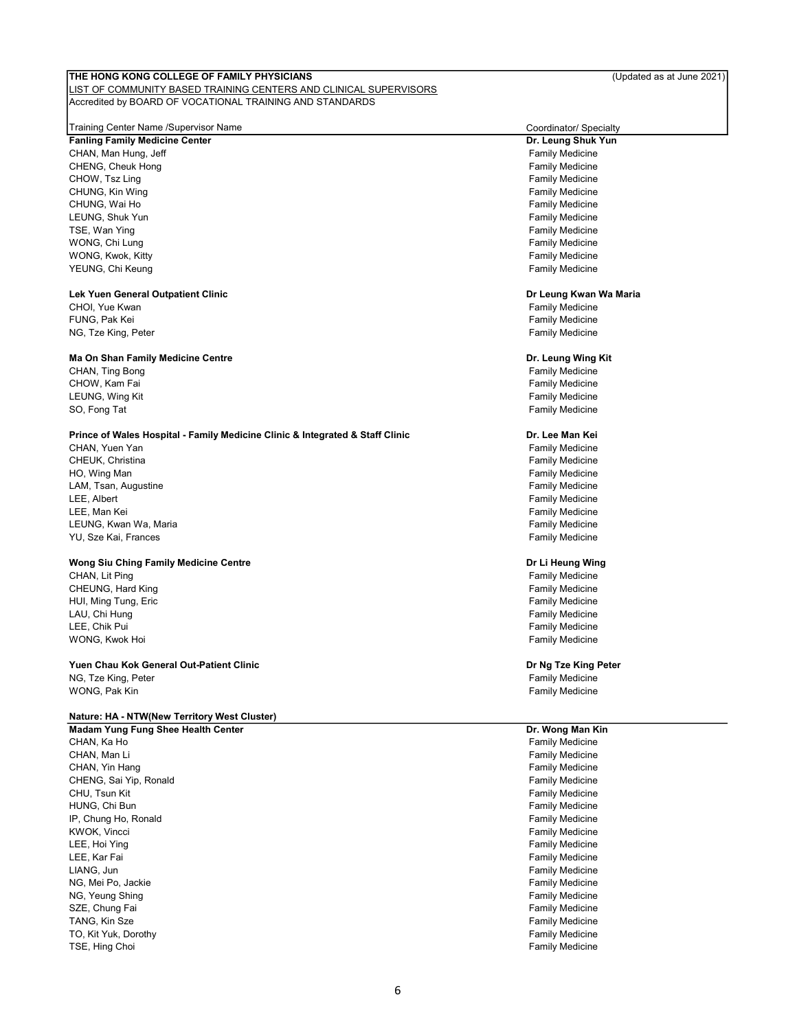#### LIST OF COMMUNITY BASED TRAINING CENTERS AND CLINICAL SUPERVISORS Accredited by BOARD OF VOCATIONAL TRAINING AND STANDARDS

#### Training Center Name /Supervisor Name Coordinator/ Specialty

Fanling Family Medicine Center CHAN, Man Hung, Jeff Family Medicine CHENG, Cheuk Hong Family Medicine CHOW, Tsz Ling **Family Medicine** CHOW, The CHOW of the CHOW of the CHOW of the CHOW of the CHOW of the CHO of the CHO of the CHO of the CHO of the CHO of the CHO of the CHO of the CHO of the CHO of the CHO of the CHO of th CHUNG, Kin Wing Family Medicine CHUNG, Kin Wing Family Medicine CHUNG, Wai Ho Family Medicine LEUNG, Shuk Yun Family Medicine TSE, Wan Ying Family Medicine Control of the Control of the Control of Table Table Table Table Table Table Table Table Table Table Table Table Table Table Table Table Table Table Table Table Table Table Table Table Table T WONG, Chi Lung **Family Medicine** WONG, Kwok, Kitty **Family Medicine** Control of the Material Control of the Material Control of the Material Control of the Material Control of the Material Control of the Material Control of the Material Control of the Mat YEUNG, Chi Keung **Family Medicine** Family Medicine

#### Lek Yuen General Outpatient Clinic

CHOI, Yue Kwan Family Medicine CHOI, Yue Kwan Family Medicine FUNG, Pak Kei Family Medicine NG, Tze King, Peter Family Medicine

#### Ma On Shan Family Medicine Centre

CHAN, Ting Bong Family Medicine CHOW, Kam Fai **Family Medicine** CHOW, Kam Fai Family Medicine LEUNG, Wing Kit **Family Medicine Contract Contract Contract Contract Contract Contract Contract Contract Contract Contract Contract Contract Contract Contract Contract Contract Contract Contract Contract Contract Contrac** SO, Fong Tat **Family Medicine** Control of the South Association of the South Association of the South Association of the South Association of the South Association of the South Association of the South Association of the S

#### Prince of Wales Hospital - Family Medicine Clinic & Integrated & Staff Clinic

CHAN, Yuen Yan Family Medicine CHEUK, Christina **Family Medicine** Family Medicine HO, Wing Man Family Medicine and the state of the state of the state of the state of the state of the state of the state of the state of the state of the state of the state of the state of the state of the state of the sta LAM, Tsan, Augustine Family Medicine LEE, Albert Family Medicine LEE, Man Kei **Family Medicine** Controller Controller Controller Controller Controller Controller Controller Controller Controller Controller Controller Controller Controller Controller Controller Controller Controller Cont LEUNG, Kwan Wa, Maria Family Medicine YU, Sze Kai, Frances **Family Medicine** Family Medicine

#### Wong Siu Ching Family Medicine Centre

CHAN, Lit Ping Family Medicine CHEUNG, Hard King کار (CHEUNG) (CHEUNG) کاری است که است که است که است که در است که است که است که است که است که<br>HUI, Ming Tung, Eric HUI, Ming Tung, Eric LAU, Chi Hung Family Medicine LEE, Chik Pui Family Medicine WONG, Kwok Hoi **Family Medicine** WONG, Kwok Hoi Family Medicine

#### Yuen Chau Kok General Out-Patient Clinic NG, Tze King, Peter Family Medicine Control of the State of the State of Tamily Medicine WONG, Pak Kin Family Medicine

#### Nature: HA - NTW(New Territory West Cluster)

Madam Yung Fung Shee Health Center CHAN, Ka Ho Family Medicine CHAN, Man Li **Family Medicine** CHAN, Man Li Family Medicine CHAN, Yin Hang Family Medicine CHENG, Sai Yip, Ronald Family Medicine CHU, Tsun Kit Family Medicine HUNG, Chi Bun Family Medicine IP, Chung Ho, Ronald **Family Medicine Family Medicine** KWOK, Vincci **Family Medicine** Control of the Control of the Control of the Control of Tamily Medicine LEE, Hoi Ying Family Medicine LEE, Kar Fai Family Medicine LIANG, Jun Family Medicine NG, Mei Po, Jackie Family Medicine Family Medicine NG, Yeung Shing Family Medicine SZE, Chung Fai **Family Medicine** Control of the Samuel Control of the Samuel Control of Tamily Medicine TANG, Kin Sze Family Medicine TO, Kit Yuk, Dorothy **Family Medicine** Contact the Contact of Contact Contact Contact Contact Contact Contact Contact Contact Contact Contact Contact Contact Contact Contact Contact Contact Contact Contact Contact Contact TSE, Hing Choi Family Medicine (1999) and the state of the state of the state of the state of the state of the state of the state of the state of the state of the state of the state of the state of the state of the state o

Dr. Leung Shuk Yun

#### Dr Leung Kwan Wa Maria

#### Dr. Leung Wing Kit

#### Dr. Lee Man Kei

#### Dr Li Heung Wing

#### Dr Ng Tze King Peter

### Dr. Wong Man Kin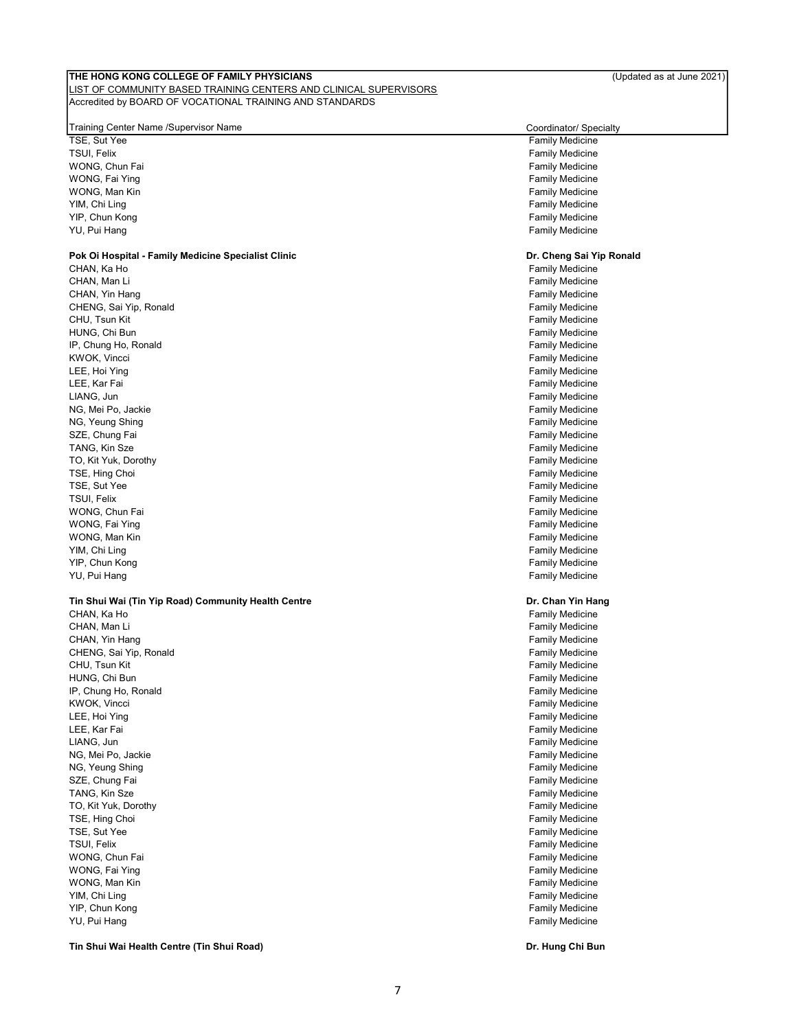### LIST OF COMMUNITY BASED TRAINING CENTERS AND CLINICAL SUPERVISORS Accredited by BOARD OF VOCATIONAL TRAINING AND STANDARDS

| Training Center Name /Supervisor Name               | Coordinator/ Specialty                           |
|-----------------------------------------------------|--------------------------------------------------|
| TSE, Sut Yee                                        | <b>Family Medicine</b>                           |
| TSUI, Felix                                         | <b>Family Medicine</b>                           |
| WONG, Chun Fai                                      | <b>Family Medicine</b>                           |
| WONG, Fai Ying                                      | <b>Family Medicine</b>                           |
| WONG, Man Kin                                       | <b>Family Medicine</b>                           |
| YIM, Chi Ling                                       | <b>Family Medicine</b>                           |
| YIP, Chun Kong                                      | <b>Family Medicine</b>                           |
| YU, Pui Hang                                        | <b>Family Medicine</b>                           |
|                                                     |                                                  |
| Pok Oi Hospital - Family Medicine Specialist Clinic | Dr. Cheng Sai Yip Ronald                         |
| CHAN, Ka Ho                                         | <b>Family Medicine</b>                           |
| CHAN, Man Li                                        | <b>Family Medicine</b>                           |
| CHAN, Yin Hang                                      | <b>Family Medicine</b>                           |
| CHENG, Sai Yip, Ronald                              | <b>Family Medicine</b>                           |
| CHU, Tsun Kit                                       | <b>Family Medicine</b>                           |
| HUNG, Chi Bun                                       | <b>Family Medicine</b>                           |
| IP, Chung Ho, Ronald                                | <b>Family Medicine</b>                           |
| KWOK, Vincci                                        | <b>Family Medicine</b>                           |
| LEE, Hoi Ying                                       | <b>Family Medicine</b>                           |
| LEE, Kar Fai                                        | <b>Family Medicine</b>                           |
| LIANG, Jun                                          | <b>Family Medicine</b>                           |
| NG, Mei Po, Jackie                                  | <b>Family Medicine</b>                           |
| NG, Yeung Shing                                     | <b>Family Medicine</b>                           |
| SZE, Chung Fai                                      | <b>Family Medicine</b>                           |
| TANG, Kin Sze                                       | <b>Family Medicine</b>                           |
| TO, Kit Yuk, Dorothy                                | <b>Family Medicine</b>                           |
| TSE, Hing Choi                                      | <b>Family Medicine</b>                           |
| TSE, Sut Yee                                        | <b>Family Medicine</b>                           |
| TSUI, Felix                                         | <b>Family Medicine</b>                           |
| WONG, Chun Fai                                      | <b>Family Medicine</b>                           |
| WONG, Fai Ying                                      | <b>Family Medicine</b>                           |
| WONG, Man Kin                                       | <b>Family Medicine</b>                           |
| YIM, Chi Ling<br>YIP, Chun Kong                     | <b>Family Medicine</b><br><b>Family Medicine</b> |
| YU, Pui Hang                                        | <b>Family Medicine</b>                           |
|                                                     |                                                  |
| Tin Shui Wai (Tin Yip Road) Community Health Centre | Dr. Chan Yin Hang                                |
| CHAN, Ka Ho                                         | <b>Family Medicine</b>                           |
| CHAN, Man Li                                        | <b>Family Medicine</b>                           |
| CHAN, Yin Hang                                      | <b>Family Medicine</b>                           |
| CHENG, Sai Yip, Ronald                              | <b>Family Medicine</b>                           |
| CHU, Tsun Kit                                       | <b>Family Medicine</b>                           |
| HUNG, Chi Bun                                       | <b>Family Medicine</b>                           |
| IP, Chung Ho, Ronald                                | <b>Family Medicine</b>                           |
| KWOK, Vincci                                        | <b>Family Medicine</b>                           |
| LEE, Hoi Ying                                       | <b>Family Medicine</b>                           |
| LEE, Kar Fai                                        | <b>Family Medicine</b>                           |
| LIANG, Jun                                          | <b>Family Medicine</b>                           |
| NG, Mei Po, Jackie                                  | <b>Family Medicine</b>                           |
| NG, Yeung Shing                                     | <b>Family Medicine</b>                           |
| SZE, Chung Fai                                      | <b>Family Medicine</b>                           |
| TANG, Kin Sze                                       | <b>Family Medicine</b>                           |
| TO, Kit Yuk, Dorothy                                | <b>Family Medicine</b>                           |
| TSE, Hing Choi                                      | <b>Family Medicine</b>                           |
| TSE, Sut Yee                                        | <b>Family Medicine</b>                           |
| TSUI, Felix                                         | <b>Family Medicine</b>                           |
| WONG, Chun Fai                                      | <b>Family Medicine</b>                           |
| WONG, Fai Ying                                      | <b>Family Medicine</b>                           |
| WONG, Man Kin                                       | <b>Family Medicine</b>                           |
| YIM, Chi Ling                                       | <b>Family Medicine</b>                           |
| YIP, Chun Kong                                      | <b>Family Medicine</b>                           |
| YU, Pui Hang                                        | <b>Family Medicine</b>                           |

Tin Shui Wai Health Centre (Tin Shui Road) **Dr. Hung Chi Bung Chi Bung Chi Bung Chi Bung** Chi Bung Chi Bung Chi Bun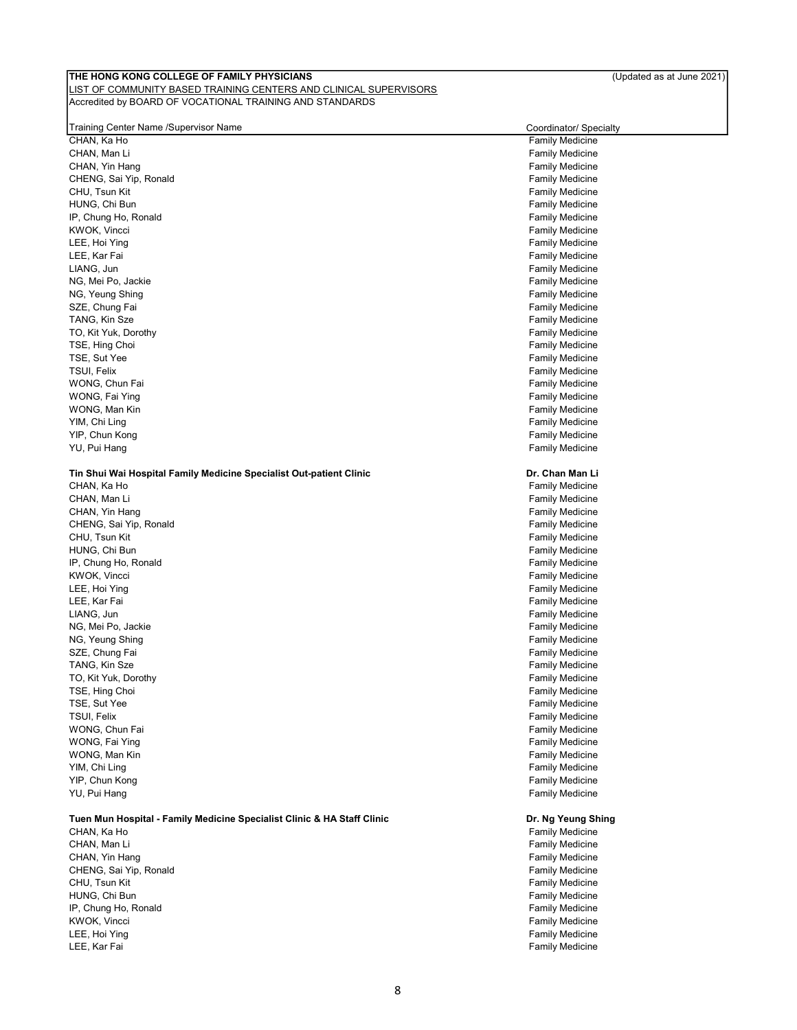#### LIST OF COMMUNITY BASED TRAINING CENTERS AND CLINICAL SUPERVISORS Accredited by BOARD OF VOCATIONAL TRAINING AND STANDARDS

| Training Center Name /Supervisor Name                                   | Coordinator/ Specialty                           |
|-------------------------------------------------------------------------|--------------------------------------------------|
| CHAN, Ka Ho                                                             | <b>Family Medicine</b>                           |
| CHAN, Man Li                                                            | <b>Family Medicine</b>                           |
| CHAN, Yin Hang                                                          | <b>Family Medicine</b>                           |
| CHENG, Sai Yip, Ronald                                                  | <b>Family Medicine</b>                           |
| CHU, Tsun Kit                                                           | <b>Family Medicine</b>                           |
| HUNG, Chi Bun                                                           | <b>Family Medicine</b>                           |
| IP, Chung Ho, Ronald                                                    | <b>Family Medicine</b>                           |
| KWOK, Vincci<br>LEE, Hoi Ying                                           | <b>Family Medicine</b><br><b>Family Medicine</b> |
| LEE, Kar Fai                                                            |                                                  |
| LIANG, Jun                                                              | <b>Family Medicine</b><br><b>Family Medicine</b> |
| NG, Mei Po, Jackie                                                      | <b>Family Medicine</b>                           |
| NG, Yeung Shing                                                         | <b>Family Medicine</b>                           |
| SZE, Chung Fai                                                          | <b>Family Medicine</b>                           |
| TANG, Kin Sze                                                           | <b>Family Medicine</b>                           |
| TO, Kit Yuk, Dorothy                                                    | <b>Family Medicine</b>                           |
| TSE, Hing Choi                                                          | <b>Family Medicine</b>                           |
| TSE, Sut Yee                                                            | <b>Family Medicine</b>                           |
| TSUI, Felix                                                             | <b>Family Medicine</b>                           |
| WONG, Chun Fai                                                          | <b>Family Medicine</b>                           |
| WONG, Fai Ying                                                          | <b>Family Medicine</b>                           |
| WONG, Man Kin                                                           | <b>Family Medicine</b>                           |
| YIM, Chi Ling                                                           | <b>Family Medicine</b>                           |
| YIP, Chun Kong                                                          | <b>Family Medicine</b>                           |
| YU, Pui Hang                                                            | <b>Family Medicine</b>                           |
|                                                                         |                                                  |
| Tin Shui Wai Hospital Family Medicine Specialist Out-patient Clinic     | Dr. Chan Man Li                                  |
| CHAN, Ka Ho                                                             | <b>Family Medicine</b>                           |
| CHAN, Man Li                                                            | <b>Family Medicine</b>                           |
| CHAN, Yin Hang                                                          | <b>Family Medicine</b>                           |
| CHENG, Sai Yip, Ronald                                                  | <b>Family Medicine</b>                           |
| CHU, Tsun Kit                                                           | <b>Family Medicine</b>                           |
| HUNG, Chi Bun                                                           | <b>Family Medicine</b>                           |
| IP, Chung Ho, Ronald                                                    | <b>Family Medicine</b>                           |
| KWOK, Vincci                                                            | <b>Family Medicine</b>                           |
| LEE, Hoi Ying                                                           | <b>Family Medicine</b>                           |
| LEE, Kar Fai                                                            | <b>Family Medicine</b>                           |
| LIANG, Jun                                                              | <b>Family Medicine</b>                           |
| NG, Mei Po, Jackie                                                      | <b>Family Medicine</b>                           |
| NG, Yeung Shing                                                         | <b>Family Medicine</b>                           |
| SZE, Chung Fai                                                          | <b>Family Medicine</b>                           |
| TANG, Kin Sze                                                           | <b>Family Medicine</b>                           |
| TO, Kit Yuk, Dorothy                                                    | <b>Family Medicine</b>                           |
| TSE, Hing Choi                                                          | Family Medicine                                  |
| TSE, Sut Yee                                                            | <b>Family Medicine</b>                           |
| TSUI, Felix                                                             | <b>Family Medicine</b>                           |
| WONG, Chun Fai                                                          | <b>Family Medicine</b>                           |
| WONG, Fai Ying                                                          | <b>Family Medicine</b>                           |
| WONG, Man Kin                                                           | <b>Family Medicine</b>                           |
| YIM, Chi Ling                                                           | <b>Family Medicine</b>                           |
| YIP, Chun Kong                                                          | <b>Family Medicine</b>                           |
| YU, Pui Hang                                                            | <b>Family Medicine</b>                           |
|                                                                         |                                                  |
| Tuen Mun Hospital - Family Medicine Specialist Clinic & HA Staff Clinic | Dr. Ng Yeung Shing                               |
| CHAN, Ka Ho                                                             | <b>Family Medicine</b>                           |
| CHAN, Man Li                                                            | <b>Family Medicine</b>                           |
| CHAN, Yin Hang                                                          | <b>Family Medicine</b>                           |
| CHENG, Sai Yip, Ronald                                                  | <b>Family Medicine</b>                           |

CHU, Tsun Kit Family Medicine<br>The Family Medicine<br>Family Medicine<br>Family Medicine IP, Chung Ho, Ronald<br>KWOK, Vincci KWOK, Vincci Family Medicine LEE, Hoi Ying Family Medicine

#### 8

Family Medicine<br>Family Medicine

**Family Medicine**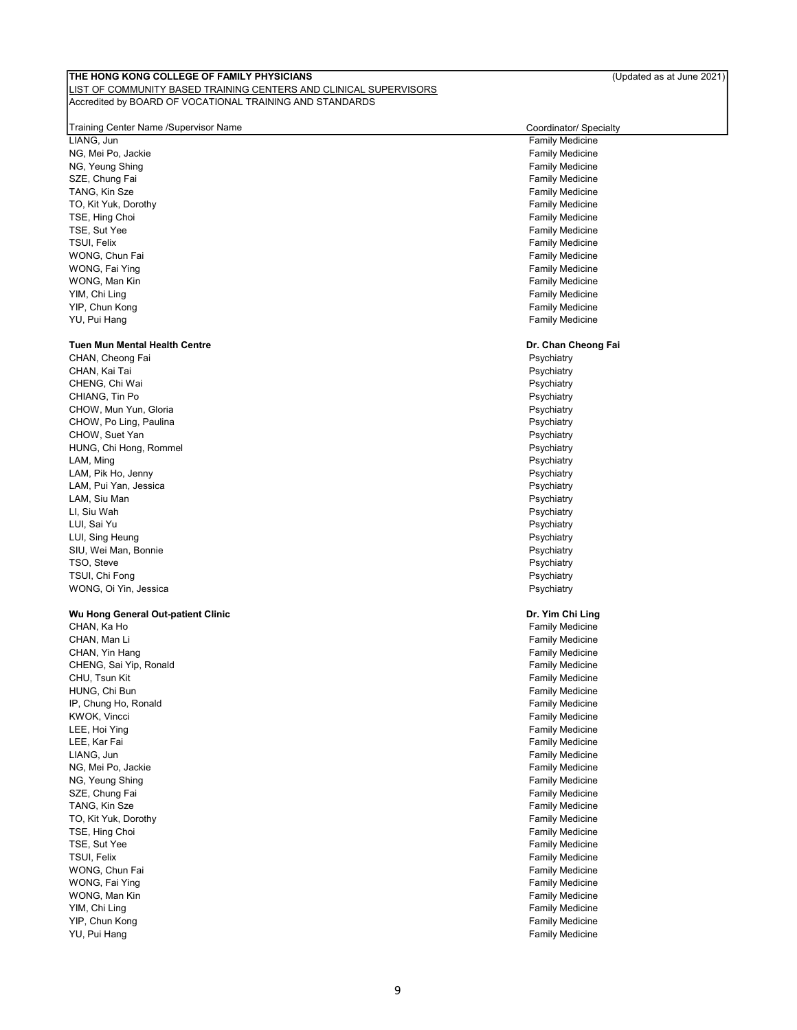#### LIST OF COMMUNITY BASED TRAINING CENTERS AND CLINICAL SUPERVISORS Accredited by BOARD OF VOCATIONAL TRAINING AND STANDARDS

#### Training Center Name /Supervisor Name Coordinator/ Specialty

LIANG, Jun Family Medicine NG, Mei Po, Jackie (1999) and the South American Studies of the Samuel Communist Communist Communist Communist<br>The Family Medicine (1999) and the South American Studies of the South American Studies of Teamily Medicine NG, Yeung Shing<br>SZE, Chung Fai TANG, Kin Sze Family Medicine TO, Kit Yuk, Dorothy **Family Medicine** Contact the Contact of Contact Contact Contact Contact Contact Contact Contact Contact Contact Contact Contact Contact Contact Contact Contact Contact Contact Contact Contact Contact TSE, Hing Choi **Family Medicine Family Medicine** TSE, Sut Yee Family Medicine Contract of the Superintensity of the Family Medicine Contract of the Family Medicine TSUI, Felix **Family Medicine** WONG, Chun Fai **Family Medicine** Chun Family Medicine Chun Family Medicine WONG, Fai Ying Family Medicine Control of the Control of the Control of the Control of Tamily Medicine WONG, Man Kin Family Medicine Control of the Control of the Control of the Control of Tamily Medicine YIM, Chi Ling Family Medicine YU, Pui Hang Family Medicine

#### Tuen Mun Mental Health Centre

CHAN, Cheong Fai **Philipps and Cheonard CHAN, Cheong Fai Psychiatry**<br>CHAN, Kai Tai Psychiatry CHAN, Kai Tai Psychiatry Psychiatry Psychiatry Psychiatry CHAN, Kai Tai CHENG, Chi Wai **Psychiatry** CHENG, Chi Wai **Psychiatry** CHENG, Chi Wai Psychiatry CHENG, Chi Wai Psychiatry CHENG, Chi Wai Psychiatry CHENG, Chi Wai Psychiatry CHENG, Chi Wai Psychiatry CHENG, Chi Wai Psychiatry CHENG, Chi CHIANG, Tin Po **Properties and CHIANG, The Properties and CHIANG**, The Properties and Properties and Properties and Properties and Properties and Properties and Properties and Properties and Properties and Properties and P CHOW, Mun Yun, Gloria **Provident CHOW, CHOW, Mun Yun, Gloria** Psychiatry CHOW, Po Ling, Paulina **Proposed and CHOW**, Policy Psychiatry **Proposed and Psychiatry** CHOW, Suet Yan **Psychiatry Properties** HUNG, Chi Hong, Rommel North American State of the Sychiatry Psychiatry Psychiatry<br>Many Design Design Design Design Design Design Design Design Design Design Design Design Design Design Design LAM, Ming Psychiatry and the contract of the contract of the contract of the contract of the contract of the contract of the contract of the contract of the contract of the contract of the contract of the contract of the c LAM, Pik Ho, Jenny Psychiatry LAM, Pui Yan, Jessica Psychiatry LAM, Siu Man Psychiatry LI, Siu Wah Psychiatry LUI, Sai Yu Psychiatry LUI, Sing Heung Psychiatry and the United States of the Psychiatry Psychiatry Psychiatry SIU, Wei Man, Bonnie Psychiatry TSO, Steve Psychiatry and the extension of the extension of the extension of the Psychiatry Psychiatry Psychiatry TSUI, Chi Fong Psychiatry and the contract of the contract of the contract of the contract of the Psychiatry Psychiatry WONG, Oi Yin, Jessica **Proposition Community Control** Proposition Proposition Proposition Proposition Proposition

#### Wu Hong General Out-patient Clinic

CHAN, Ka Ho جارة المستخدم المستخدم المستخدم المستخدم المستخدم المستخدم المستخدم المستخدم المستخدم المستخدم المستخدم<br>CHAN, Man Li Samily Medicine CHAN, Yin Hang Family Medicine CHAN, Yin Hang Family Medicine CHENG, Sai Yip, Ronald Family Medicine CHU, Tsun Kit **Family Medicine** CHU, Tsun Kit Family Medicine HUNG, Chi Bun Family Medicine Chi Bun Family Medicine Chi Bun Family Medicine Chi Bun Family Medicine IP, Chung Ho, Ronald **Family Medicine Family Medicine** KWOK, Vincci Family Medicine LEE, Kar Fai Family Medicine LIANG, Jun Family Medicine NG, Mei Po, Jackie Family Medicine NG, Yeung Shing SZE, Chung Fai **Family Medicine** Control of the Samuel Control of the Samuel Control of Tamily Medicine Control of the Samuel Control of Tamily Medicine Control of the Samuel Control of the Samuel Control of Tamily Medicin TANG, Kin Sze Family Medicine TO, Kit Yuk, Dorothy **Family Medicine** Contact the Contact of Texas and Texas and Texas and Texas and Texas and Texas and Texas and Texas and Texas and Texas and Texas and Texas and Texas and Texas and Texas and Texas and TSE, Hing Choi **Family Medicine Family Medicine** TSE, Sut Yee Family Medicine<br>TSUI, Felix Family Medicine<br>TSUI, Felix Family Medicine WONG, Chun Fai **Family Medicine** Control of the Control of the Control of the Control of Tamily Medicine Control of the Control of the Control of Tamily Medicine Control of the Control of the Control of the Control of the WONG, Fai Ying Family Medicine Control of the Control of the Control of the Control of Table Table Table Table Table Table Table Table Table Table Table Table Table Table Table Table Table Table Table Table Table Table Tab WONG, Man Kin Family Medicine Control of the Control of the Control of the Control of Tamily Medicine YIM, Chi Ling Family Medicine YU, Pui Hang Family Medicine

Family Medicine Family Medicine

#### Dr. Chan Cheong Fai

#### Dr. Yim Chi Ling

**Family Medicine Family Medicine** Family Medicine Family Medicine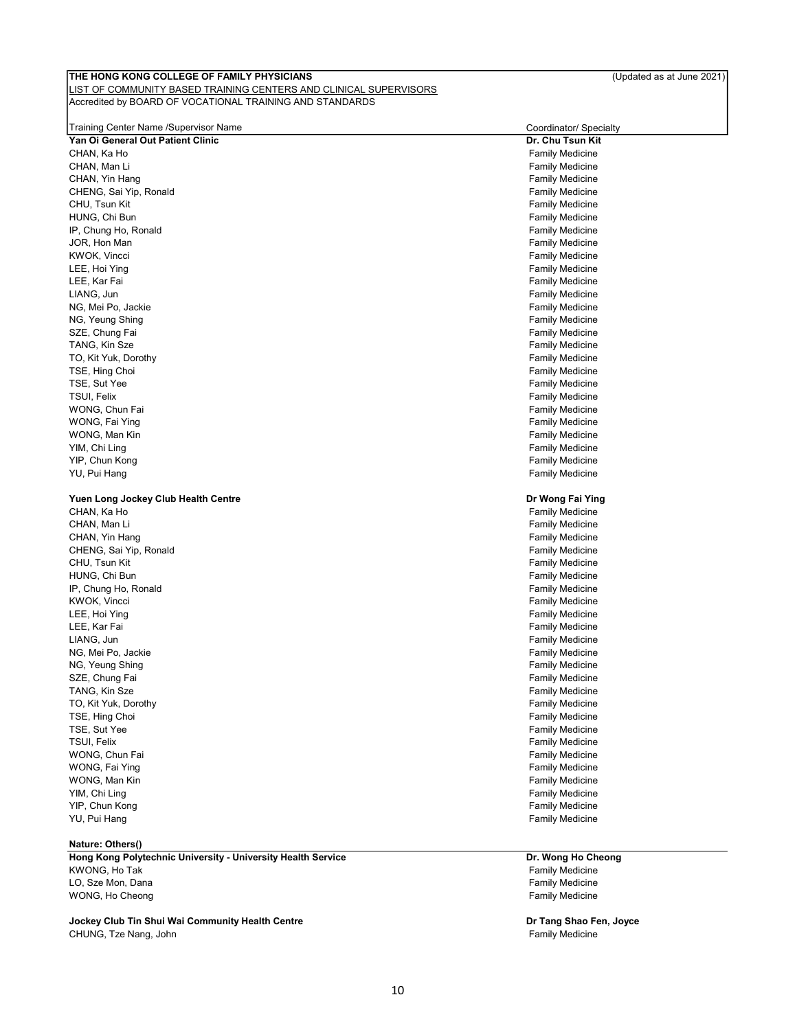#### LIST OF COMMUNITY BASED TRAINING CENTERS AND CLINICAL SUPERVISORS Accredited by BOARD OF VOCATIONAL TRAINING AND STANDARDS

| Training Center Name /Supervisor Name                        | Coordinator/ Specialty |
|--------------------------------------------------------------|------------------------|
| Yan Oi General Out Patient Clinic                            | Dr. Chu Tsun Kit       |
| CHAN, Ka Ho                                                  | <b>Family Medicine</b> |
| CHAN, Man Li                                                 | <b>Family Medicine</b> |
| CHAN, Yin Hang                                               | <b>Family Medicine</b> |
| CHENG, Sai Yip, Ronald                                       | <b>Family Medicine</b> |
| CHU, Tsun Kit                                                | <b>Family Medicine</b> |
| HUNG, Chi Bun                                                | <b>Family Medicine</b> |
| IP, Chung Ho, Ronald                                         | <b>Family Medicine</b> |
| JOR, Hon Man                                                 | <b>Family Medicine</b> |
| KWOK, Vincci                                                 | <b>Family Medicine</b> |
| LEE, Hoi Ying                                                | <b>Family Medicine</b> |
| LEE, Kar Fai                                                 | <b>Family Medicine</b> |
| LIANG, Jun                                                   | <b>Family Medicine</b> |
| NG, Mei Po, Jackie                                           | <b>Family Medicine</b> |
| NG, Yeung Shing                                              | <b>Family Medicine</b> |
| SZE, Chung Fai                                               | <b>Family Medicine</b> |
| TANG, Kin Sze                                                | <b>Family Medicine</b> |
| TO, Kit Yuk, Dorothy                                         | <b>Family Medicine</b> |
| TSE, Hing Choi                                               | <b>Family Medicine</b> |
| TSE, Sut Yee                                                 | <b>Family Medicine</b> |
| TSUI, Felix                                                  | <b>Family Medicine</b> |
| WONG, Chun Fai                                               | <b>Family Medicine</b> |
| WONG, Fai Ying                                               | <b>Family Medicine</b> |
| WONG, Man Kin                                                | <b>Family Medicine</b> |
| YIM, Chi Ling                                                | <b>Family Medicine</b> |
| YIP, Chun Kong                                               | <b>Family Medicine</b> |
| YU, Pui Hang                                                 | <b>Family Medicine</b> |
| Yuen Long Jockey Club Health Centre                          | Dr Wong Fai Ying       |
| CHAN, Ka Ho                                                  | <b>Family Medicine</b> |
| CHAN, Man Li                                                 | <b>Family Medicine</b> |
| CHAN, Yin Hang                                               | <b>Family Medicine</b> |
| CHENG, Sai Yip, Ronald                                       | <b>Family Medicine</b> |
| CHU, Tsun Kit                                                | <b>Family Medicine</b> |
| HUNG, Chi Bun                                                | <b>Family Medicine</b> |
| IP, Chung Ho, Ronald                                         | <b>Family Medicine</b> |
| KWOK, Vincci                                                 | <b>Family Medicine</b> |
| LEE, Hoi Ying                                                | <b>Family Medicine</b> |
| LEE, Kar Fai                                                 | <b>Family Medicine</b> |
| LIANG, Jun                                                   | <b>Family Medicine</b> |
| NG, Mei Po, Jackie                                           | <b>Family Medicine</b> |
| NG, Yeung Shing                                              | <b>Family Medicine</b> |
| SZE, Chung Fai                                               | <b>Family Medicine</b> |
| TANG, Kin Sze                                                | <b>Family Medicine</b> |
| TO, Kit Yuk, Dorothy                                         | <b>Family Medicine</b> |
| TSE, Hing Choi                                               | <b>Family Medicine</b> |
| TSE, Sut Yee                                                 | <b>Family Medicine</b> |
| TSUI, Felix                                                  | Family Medicine        |
| WONG, Chun Fai                                               | <b>Family Medicine</b> |
| WONG, Fai Ying                                               | <b>Family Medicine</b> |
| WONG, Man Kin                                                | <b>Family Medicine</b> |
| YIM, Chi Ling                                                | <b>Family Medicine</b> |
| YIP, Chun Kong                                               | <b>Family Medicine</b> |
| YU, Pui Hang                                                 | <b>Family Medicine</b> |
| Nature: Others()                                             |                        |
| Hong Kong Polytechnic University - University Health Service | Dr. Wong Ho Cheong     |

KWONG, Ho Tak Family Medicine LO, Sze Mon, Dana Family Medicine WONG, Ho Cheong

Jockey Club Tin Shui Wai Community Health Centre CHUNG, Tze Nang, John Family Medicine CHUNG, The Nang John Family Medicine

Dr Tang Shao Fen, Joyce